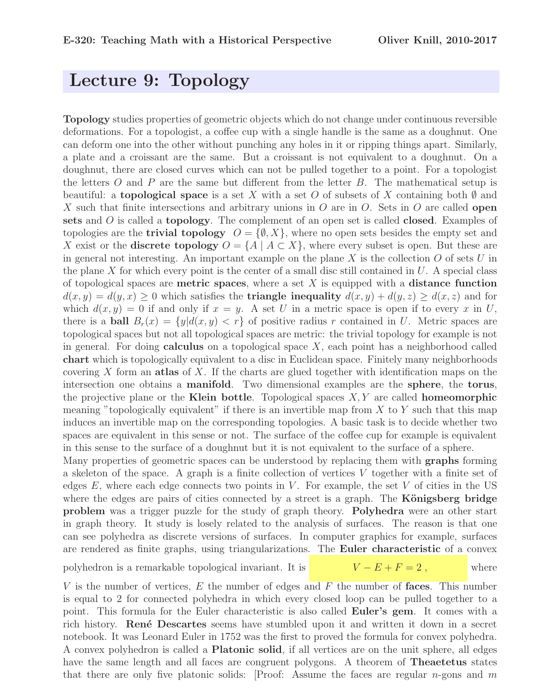## Lecture 9: Topology

Topology studies properties of geometric objects which do not change under continuous reversible deformations. For a topologist, a coffee cup with a single handle is the same as a doughnut. One can deform one into the other without punching any holes in it or ripping things apart. Similarly, a plate and a croissant are the same. But a croissant is not equivalent to a doughnut. On a doughnut, there are closed curves which can not be pulled together to a point. For a topologist the letters  $O$  and  $P$  are the same but different from the letter  $B$ . The mathematical setup is beautiful: a **topological space** is a set X with a set O of subsets of X containing both  $\emptyset$  and X such that finite intersections and arbitrary unions in O are in O. Sets in O are called **open** sets and O is called a topology. The complement of an open set is called closed. Examples of topologies are the **trivial topology**  $O = \{ \emptyset, X \}$ , where no open sets besides the empty set and X exist or the **discrete topology**  $O = \{A \mid A \subset X\}$ , where every subset is open. But these are in general not interesting. An important example on the plane  $X$  is the collection  $O$  of sets  $U$  in the plane X for which every point is the center of a small disc still contained in  $U$ . A special class of topological spaces are **metric spaces**, where a set  $X$  is equipped with a **distance function**  $d(x, y) = d(y, x) \ge 0$  which satisfies the **triangle inequality**  $d(x, y) + d(y, z) \ge d(x, z)$  and for which  $d(x, y) = 0$  if and only if  $x = y$ . A set U in a metric space is open if to every x in U, there is a **ball**  $B_r(x) = \{y | d(x, y) < r\}$  of positive radius r contained in U. Metric spaces are topological spaces but not all topological spaces are metric: the trivial topology for example is not in general. For doing **calculus** on a topological space  $X$ , each point has a neighborhood called chart which is topologically equivalent to a disc in Euclidean space. Finitely many neighborhoods covering X form an atlas of X. If the charts are glued together with identification maps on the intersection one obtains a manifold. Two dimensional examples are the sphere, the torus, the projective plane or the Klein bottle. Topological spaces  $X, Y$  are called homeomorphic meaning "topologically equivalent" if there is an invertible map from  $X$  to  $Y$  such that this map induces an invertible map on the corresponding topologies. A basic task is to decide whether two spaces are equivalent in this sense or not. The surface of the coffee cup for example is equivalent in this sense to the surface of a doughnut but it is not equivalent to the surface of a sphere.

Many properties of geometric spaces can be understood by replacing them with graphs forming a skeleton of the space. A graph is a finite collection of vertices V together with a finite set of edges  $E$ , where each edge connects two points in  $V$ . For example, the set  $V$  of cities in the US where the edges are pairs of cities connected by a street is a graph. The **Königsberg bridge** problem was a trigger puzzle for the study of graph theory. Polyhedra were an other start in graph theory. It study is losely related to the analysis of surfaces. The reason is that one can see polyhedra as discrete versions of surfaces. In computer graphics for example, surfaces are rendered as finite graphs, using triangularizations. The Euler characteristic of a convex

polyhedron is a remarkable topological invariant. It is  $V - E + F = 2$ , where

V is the number of vertices,  $E$  the number of edges and  $F$  the number of faces. This number is equal to 2 for connected polyhedra in which every closed loop can be pulled together to a point. This formula for the Euler characteristic is also called Euler's gem. It comes with a rich history. René Descartes seems have stumbled upon it and written it down in a secret notebook. It was Leonard Euler in 1752 was the first to proved the formula for convex polyhedra. A convex polyhedron is called a Platonic solid, if all vertices are on the unit sphere, all edges have the same length and all faces are congruent polygons. A theorem of **Theaetetus** states that there are only five platonic solids: [Proof: Assume the faces are regular *n*-gons and  $m$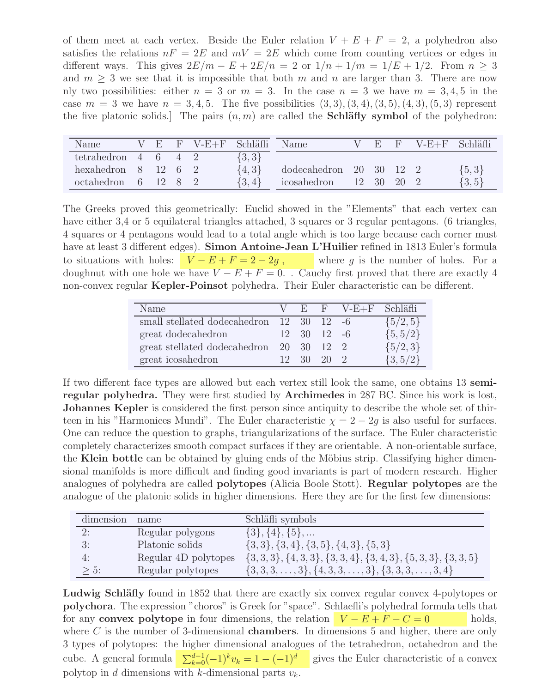of them meet at each vertex. Beside the Euler relation  $V + E + F = 2$ , a polyhedron also satisfies the relations  $nF = 2E$  and  $mV = 2E$  which come from counting vertices or edges in different ways. This gives  $2E/m - E + 2E/n = 2$  or  $1/n + 1/m = 1/E + 1/2$ . From  $n \geq 3$ and  $m \geq 3$  we see that it is impossible that both m and n are larger than 3. There are now nly two possibilities: either  $n = 3$  or  $m = 3$ . In the case  $n = 3$  we have  $m = 3, 4, 5$  in the case  $m = 3$  we have  $n = 3, 4, 5$ . The five possibilities  $(3, 3), (3, 4), (3, 5), (4, 3), (5, 3)$  represent the five platonic solids. The pairs  $(n, m)$  are called the **Schläfly symbol** of the polyhedron:

| Name                                 |  | V E F V-E+F Schläfli |           | Name                                  | $V - F$    | $\mathbf{F}$ | $V-E+F$ Schläfli |            |
|--------------------------------------|--|----------------------|-----------|---------------------------------------|------------|--------------|------------------|------------|
| tetrahedron $4\quad 6\quad 4\quad 2$ |  |                      | $\{3,3\}$ |                                       |            |              |                  |            |
| hexahedron $8 \t12 \t6 \t2$          |  |                      | $\{4,3\}$ | dodecahedron $20\quad30\quad12\quad2$ |            |              |                  | $\{5,3\}$  |
| $octahedron$ 6 12 8 2                |  |                      | $\{3,4\}$ | icosahedron                           | 12 30 20 2 |              |                  | $\{3, 5\}$ |

The Greeks proved this geometrically: Euclid showed in the "Elements" that each vertex can have either 3,4 or 5 equilateral triangles attached, 3 squares or 3 regular pentagons. (6 triangles, 4 squares or 4 pentagons would lead to a total angle which is too large because each corner must have at least 3 different edges). Simon Antoine-Jean L'Huilier refined in 1813 Euler's formula to situations with holes:  $V - E + F = 2 - 2g$ , where g is the number of holes. For a doughnut with one hole we have  $V - E + F = 0$ . Cauchy first proved that there are exactly 4 non-convex regular Kepler-Poinsot polyhedra. Their Euler characteristic can be different.

| Name                                                         |  |                                 | V E F V-E+F Schläfli |              |
|--------------------------------------------------------------|--|---------------------------------|----------------------|--------------|
| small stellated dodecahedron $12 \quad 30 \quad 12 \quad -6$ |  |                                 |                      | $\{5/2, 5\}$ |
| great dodecahedron                                           |  | $12 \quad 30 \quad 12 \quad -6$ |                      | $\{5, 5/2\}$ |
| great stellated dodecahedron                                 |  | 20 30 12 2                      |                      | $\{5/2,3\}$  |
| great icosahedron                                            |  | $12 \quad 30 \quad 20 \quad 2$  |                      | $\{3, 5/2\}$ |

If two different face types are allowed but each vertex still look the same, one obtains 13 semiregular polyhedra. They were first studied by Archimedes in 287 BC. Since his work is lost, Johannes Kepler is considered the first person since antiquity to describe the whole set of thirteen in his "Harmonices Mundi". The Euler characteristic  $\chi = 2 - 2g$  is also useful for surfaces. One can reduce the question to graphs, triangularizations of the surface. The Euler characteristic completely characterizes smooth compact surfaces if they are orientable. A non-orientable surface, the Klein bottle can be obtained by gluing ends of the Möbius strip. Classifying higher dimensional manifolds is more difficult and finding good invariants is part of modern research. Higher analogues of polyhedra are called polytopes (Alicia Boole Stott). Regular polytopes are the analogue of the platonic solids in higher dimensions. Here they are for the first few dimensions:

| dimension | name                 | Schläfli symbols                                                   |
|-----------|----------------------|--------------------------------------------------------------------|
| 2:        | Regular polygons     | $\{3\}, \{4\}, \{5\}, \dots$                                       |
| 3:        | Platonic solids      | $\{3,3\}, \{3,4\}, \{3,5\}, \{4,3\}, \{5,3\}$                      |
| 4:        | Regular 4D polytopes | $\{3,3,3\}, \{4,3,3\}, \{3,3,4\}, \{3,4,3\}, \{5,3,3\}, \{3,3,5\}$ |
| $> 5$ :   | Regular polytopes    | $\{3,3,3,\ldots,3\},\{4,3,3,\ldots,3\},\{3,3,3,\ldots,3,4\}$       |

Ludwig Schläfly found in 1852 that there are exactly six convex regular convex 4-polytopes or polychora. The expression "choros" is Greek for "space". Schlaefli's polyhedral formula tells that for any convex polytope in four dimensions, the relation  $V - E + F - C = 0$  holds, where  $C$  is the number of 3-dimensional **chambers**. In dimensions 5 and higher, there are only 3 types of polytopes: the higher dimensional analogues of the tetrahedron, octahedron and the cube. A general formula  $\sum_{k=0}^{d-1}(-1)^{k}v_k = 1 - (-1)^d$  gives the Euler characteristic of a convex polytop in d dimensions with k-dimensional parts  $v_k$ .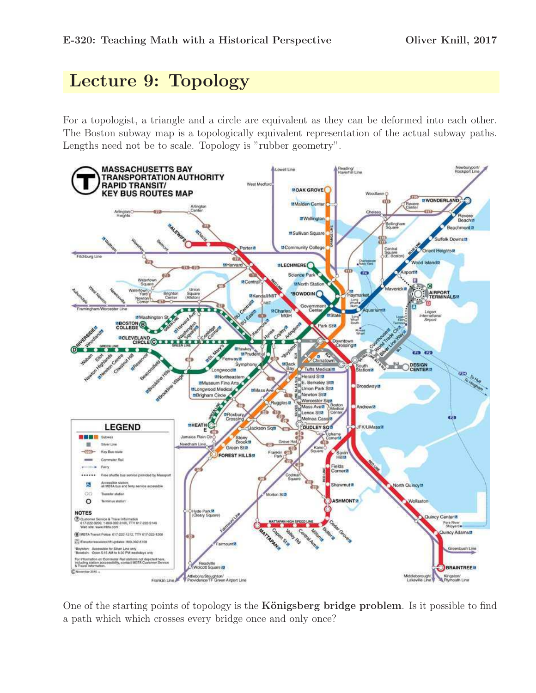## Lecture 9: Topology

For a topologist, a triangle and a circle are equivalent as they can be deformed into each other. The Boston subway map is a topologically equivalent representation of the actual subway paths. Lengths need not be to scale. Topology is "rubber geometry".



One of the starting points of topology is the **Königsberg bridge problem**. Is it possible to find a path which which crosses every bridge once and only once?